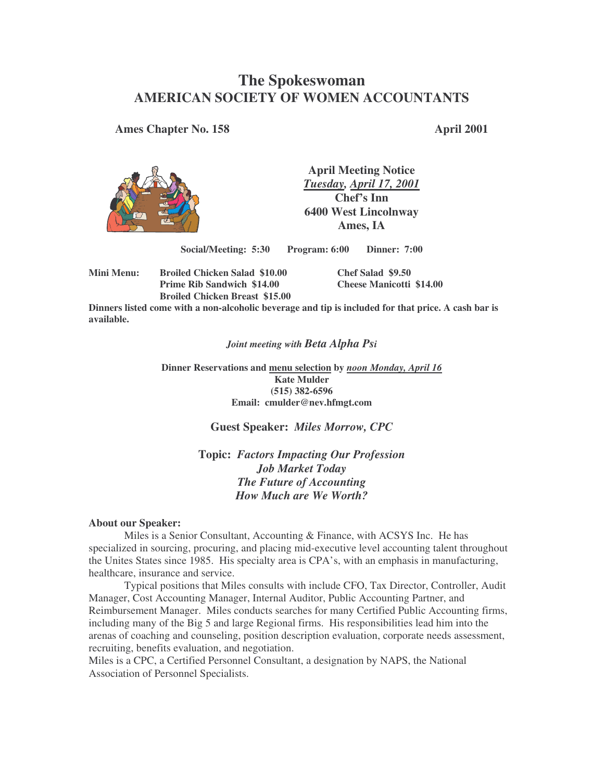# **The Spokeswoman AMERICAN SOCIETY OF WOMEN ACCOUNTANTS**

**Ames Chapter No. 158 April 2001**



**April Meeting Notice** *Tuesday, April 17, 2001* **Chef's Inn 6400 West Lincolnway Ames, IA**

**Social/Meeting: 5:30 Program: 6:00 Dinner: 7:00**

**Mini Menu: Broiled Chicken Salad \$10.00 Chef Salad \$9.50 Prime Rib Sandwich \$14.00 Cheese Manicotti \$14.00 Broiled Chicken Breast \$15.00**

Dinners listed come with a non-alcoholic beverage and tip is included for that price. A cash bar is **available.**

#### *Joint meeting with Beta Alpha Psi*

**Dinner Reservations and menu selection by** *noon Monday, April 16* **Kate Mulder (515) 382-6596 Email: cmulder@nev.hfmgt.com**

#### **Guest Speaker:** *Miles Morrow, CPC*

**Topic:** *Factors Impacting Our Profession Job Market Today The Future of Accounting How Much are We Worth?*

#### **About our Speaker:**

Miles is a Senior Consultant, Accounting & Finance, with ACSYS Inc. He has specialized in sourcing, procuring, and placing mid-executive level accounting talent throughout the Unites States since 1985. His specialty area is CPA's, with an emphasis in manufacturing, healthcare, insurance and service.

Typical positions that Miles consults with include CFO, Tax Director, Controller, Audit Manager, Cost Accounting Manager, Internal Auditor, Public Accounting Partner, and Reimbursement Manager. Miles conducts searches for many Certified Public Accounting firms, including many of the Big 5 and large Regional firms. His responsibilities lead him into the arenas of coaching and counseling, position description evaluation, corporate needs assessment, recruiting, benefits evaluation, and negotiation.

Miles is a CPC, a Certified Personnel Consultant, a designation by NAPS, the National Association of Personnel Specialists.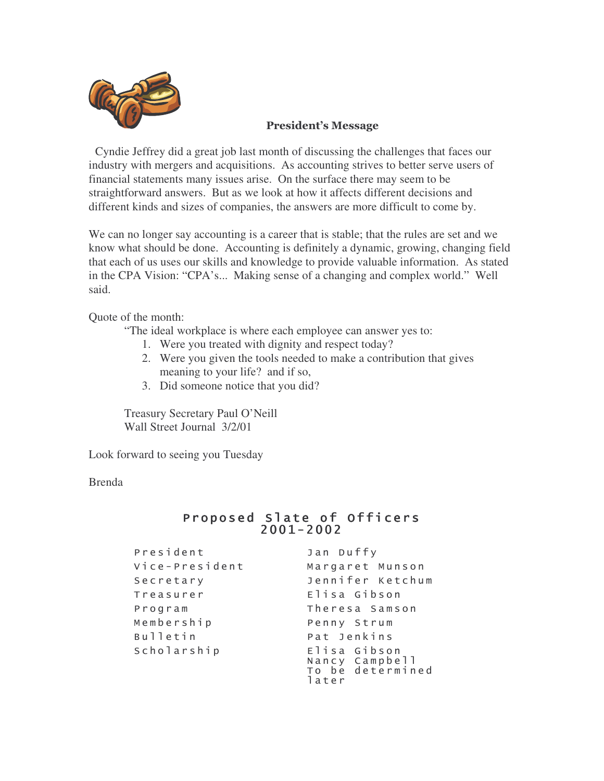

### **President's Message**

Cyndie Jeffrey did a great job last month of discussing the challenges that faces our industry with mergers and acquisitions. As accounting strives to better serve users of financial statements many issues arise. On the surface there may seem to be straightforward answers. But as we look at how it affects different decisions and different kinds and sizes of companies, the answers are more difficult to come by.

We can no longer say accounting is a career that is stable; that the rules are set and we know what should be done. Accounting is definitely a dynamic, growing, changing field that each of us uses our skills and knowledge to provide valuable information. As stated in the CPA Vision: "CPA's... Making sense of a changing and complex world." Well said.

Quote of the month:

"The ideal workplace is where each employee can answer yes to:

- 1. Were you treated with dignity and respect today?
- 2. Were you given the tools needed to make a contribution that gives meaning to your life? and if so,
- 3. Did someone notice that you did?

Treasury Secretary Paul O'Neill Wall Street Journal 3/2/01

Look forward to seeing you Tuesday

Brenda

## Proposed Slate of Officers  $2001 - 2002$

| President      | Jan Duffy                                                   |  |  |  |
|----------------|-------------------------------------------------------------|--|--|--|
| Vice-President | Margaret Munson                                             |  |  |  |
| Secretary      | Jennifer Ketchum                                            |  |  |  |
| Treasurer      | Elisa Gibson                                                |  |  |  |
| Program        | Theresa Samson                                              |  |  |  |
| Membership     | Penny Strum                                                 |  |  |  |
| Bulletin       | Pat Jenkins                                                 |  |  |  |
| Scholarship    | Elisa Gibson<br>Nancy Campbell<br>To be determined<br>later |  |  |  |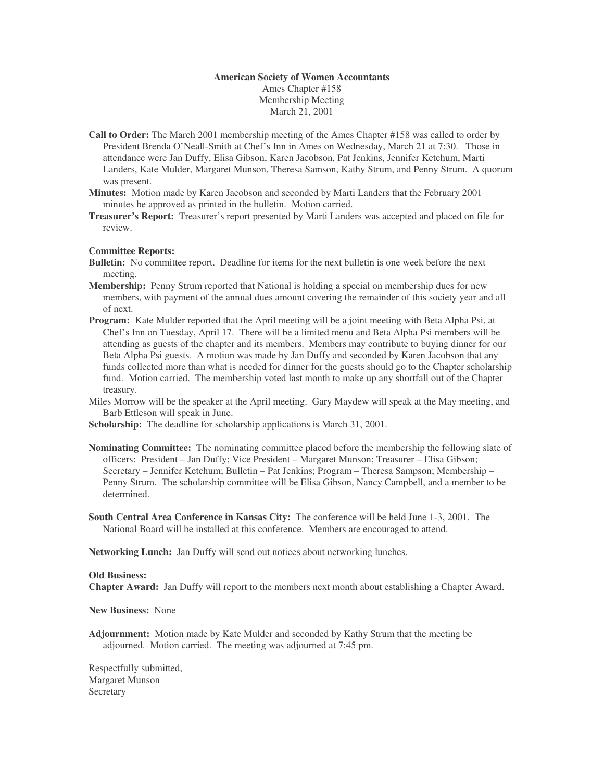#### **American Society of Women Accountants** Ames Chapter #158 Membership Meeting March 21, 2001

- **Call to Order:** The March 2001 membership meeting of the Ames Chapter #158 was called to order by President Brenda O'Neall-Smith at Chef's Inn in Ames on Wednesday, March 21 at 7:30. Those in attendance were Jan Duffy, Elisa Gibson, Karen Jacobson, Pat Jenkins, Jennifer Ketchum, Marti Landers, Kate Mulder, Margaret Munson, Theresa Samson, Kathy Strum, and Penny Strum. A quorum was present.
- **Minutes:** Motion made by Karen Jacobson and seconded by Marti Landers that the February 2001 minutes be approved as printed in the bulletin. Motion carried.
- **Treasurer's Report:** Treasurer's report presented by Marti Landers was accepted and placed on file for review.

#### **Committee Reports:**

- **Bulletin:** No committee report. Deadline for items for the next bulletin is one week before the next meeting.
- **Membership:** Penny Strum reported that National is holding a special on membership dues for new members, with payment of the annual dues amount covering the remainder of this society year and all of next.
- **Program:** Kate Mulder reported that the April meeting will be a joint meeting with Beta Alpha Psi, at Chef's Inn on Tuesday, April 17. There will be a limited menu and Beta Alpha Psi members will be attending as guests of the chapter and its members. Members may contribute to buying dinner for our Beta Alpha Psi guests. A motion was made by Jan Duffy and seconded by Karen Jacobson that any funds collected more than what is needed for dinner for the guests should go to the Chapter scholarship fund. Motion carried. The membership voted last month to make up any shortfall out of the Chapter treasury.
- Miles Morrow will be the speaker at the April meeting. Gary Maydew will speak at the May meeting, and Barb Ettleson will speak in June.

**Scholarship:** The deadline for scholarship applications is March 31, 2001.

- **Nominating Committee:** The nominating committee placed before the membership the following slate of officers: President – Jan Duffy; Vice President – Margaret Munson; Treasurer – Elisa Gibson; Secretary – Jennifer Ketchum; Bulletin – Pat Jenkins; Program – Theresa Sampson; Membership – Penny Strum. The scholarship committee will be Elisa Gibson, Nancy Campbell, and a member to be determined.
- **South Central Area Conference in Kansas City:** The conference will be held June 1-3, 2001. The National Board will be installed at this conference. Members are encouraged to attend.

**Networking Lunch:** Jan Duffy will send out notices about networking lunches.

#### **Old Business:**

**Chapter Award:** Jan Duffy will report to the members next month about establishing a Chapter Award.

**New Business:** None

**Adjournment:** Motion made by Kate Mulder and seconded by Kathy Strum that the meeting be adjourned. Motion carried. The meeting was adjourned at 7:45 pm.

Respectfully submitted, Margaret Munson **Secretary**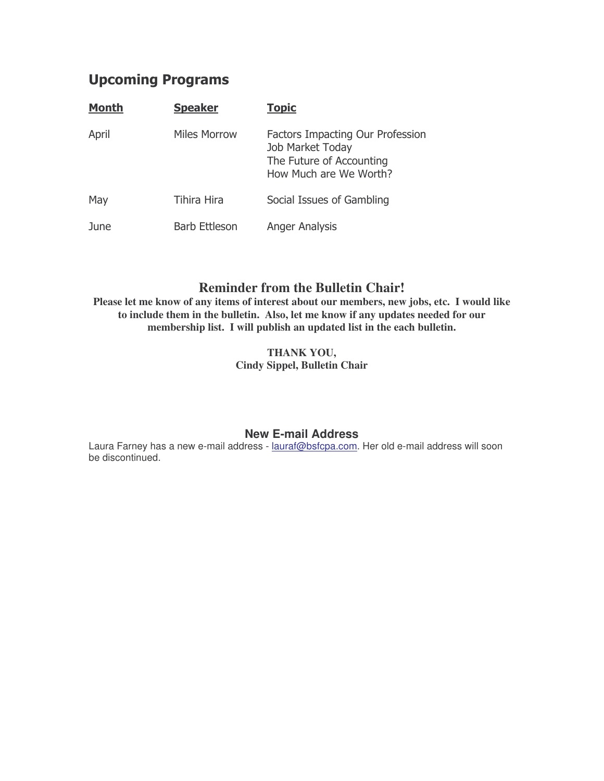# **Upcoming Programs**

| <b>Month</b> | <b>Speaker</b>       | <b>Topic</b>                                                                                               |  |
|--------------|----------------------|------------------------------------------------------------------------------------------------------------|--|
| April        | Miles Morrow         | Factors Impacting Our Profession<br>Job Market Today<br>The Future of Accounting<br>How Much are We Worth? |  |
| May          | <b>Tihira Hira</b>   | Social Issues of Gambling                                                                                  |  |
| June         | <b>Barb Ettleson</b> | Anger Analysis                                                                                             |  |

## **Reminder from the Bulletin Chair!**

**Please let me know of any items of interest about our members, new jobs, etc. I would like to include them in the bulletin. Also, let me know if any updates needed for our membership list. I will publish an updated list in the each bulletin.**

> **THANK YOU, Cindy Sippel, Bulletin Chair**

### **New E-mail Address**

Laura Farney has a new e-mail address - lauraf@bsfcpa.com. Her old e-mail address will soon be discontinued.